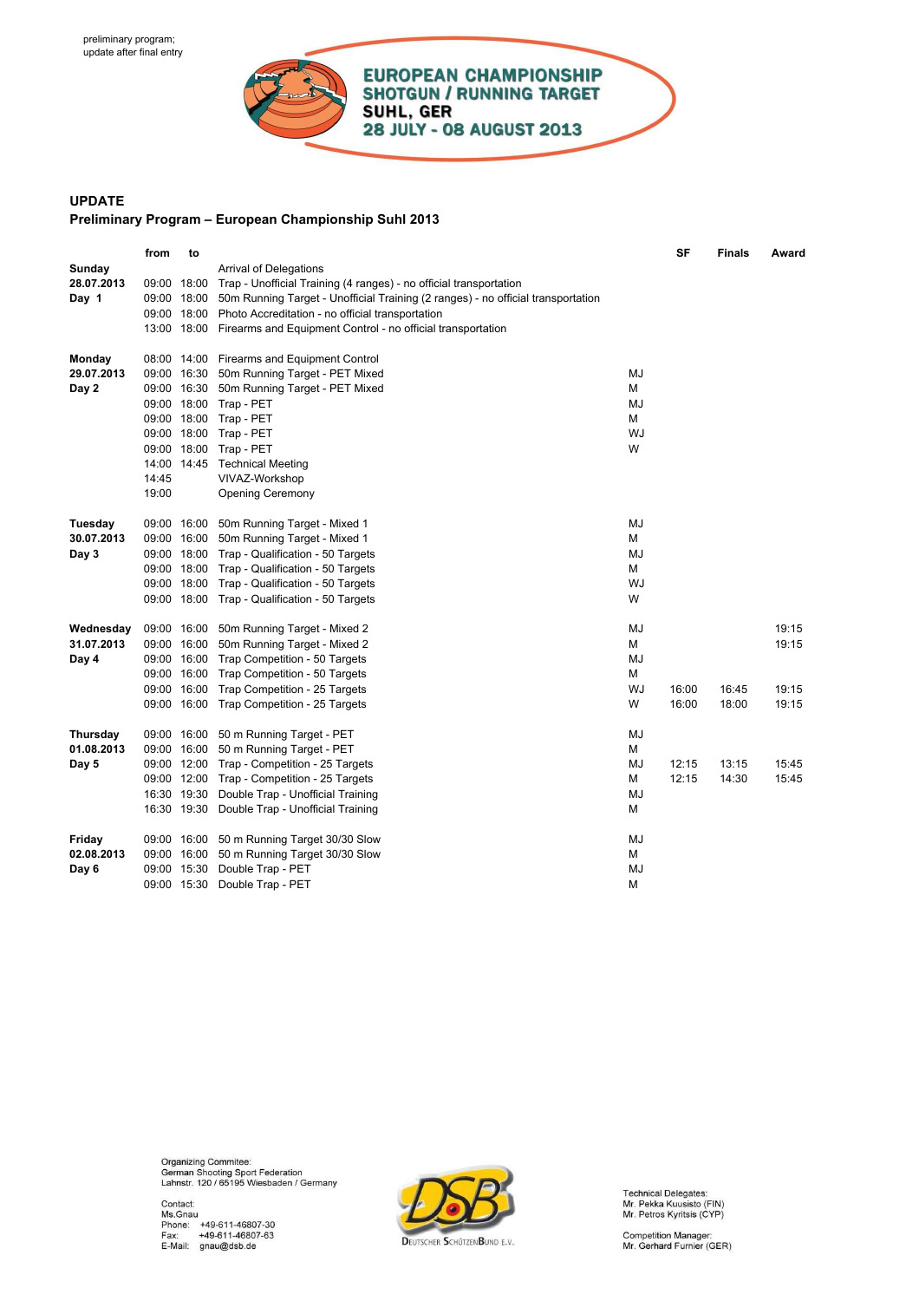

## **UPDATE Preliminary Program – European Championship Suhl 2013**

|                      | from  | to |                                                                                                                 |    | SF    | <b>Finals</b> | Award |
|----------------------|-------|----|-----------------------------------------------------------------------------------------------------------------|----|-------|---------------|-------|
| Sunday<br>28.07.2013 |       |    | <b>Arrival of Delegations</b><br>09:00 18:00 Trap - Unofficial Training (4 ranges) - no official transportation |    |       |               |       |
| Day 1                |       |    | 09:00 18:00 50m Running Target - Unofficial Training (2 ranges) - no official transportation                    |    |       |               |       |
|                      |       |    | 09:00 18:00 Photo Accreditation - no official transportation                                                    |    |       |               |       |
|                      |       |    | 13:00 18:00 Firearms and Equipment Control - no official transportation                                         |    |       |               |       |
|                      |       |    |                                                                                                                 |    |       |               |       |
| Monday               |       |    | 08:00 14:00 Firearms and Equipment Control                                                                      |    |       |               |       |
| 29.07.2013           |       |    | 09:00 16:30 50m Running Target - PET Mixed                                                                      | MJ |       |               |       |
| Day 2                |       |    | 09:00 16:30 50m Running Target - PET Mixed                                                                      | М  |       |               |       |
|                      |       |    | 09:00 18:00 Trap - PET                                                                                          | MJ |       |               |       |
|                      |       |    | 09:00 18:00 Trap - PET                                                                                          | М  |       |               |       |
|                      |       |    | 09:00 18:00 Trap - PET                                                                                          | WJ |       |               |       |
|                      |       |    | 09:00 18:00 Trap - PET                                                                                          | W  |       |               |       |
|                      |       |    | 14:00 14:45 Technical Meeting                                                                                   |    |       |               |       |
|                      | 14:45 |    | VIVAZ-Workshop                                                                                                  |    |       |               |       |
|                      | 19:00 |    | <b>Opening Ceremony</b>                                                                                         |    |       |               |       |
| Tuesday              |       |    |                                                                                                                 | MJ |       |               |       |
| 30.07.2013           |       |    | 09:00 16:00 50m Running Target - Mixed 1<br>09:00 16:00 50m Running Target - Mixed 1                            | М  |       |               |       |
| Day 3                |       |    | 09:00 18:00 Trap - Qualification - 50 Targets                                                                   | MJ |       |               |       |
|                      |       |    | 09:00 18:00 Trap - Qualification - 50 Targets                                                                   | М  |       |               |       |
|                      |       |    | 09:00 18:00 Trap - Qualification - 50 Targets                                                                   | WJ |       |               |       |
|                      |       |    | 09:00 18:00 Trap - Qualification - 50 Targets                                                                   | W  |       |               |       |
|                      |       |    |                                                                                                                 |    |       |               |       |
| Wednesday            |       |    | 09:00 16:00 50m Running Target - Mixed 2                                                                        | MJ |       |               | 19:15 |
| 31.07.2013           |       |    | 09:00 16:00 50m Running Target - Mixed 2                                                                        | М  |       |               | 19:15 |
| Day 4                |       |    | 09:00 16:00 Trap Competition - 50 Targets                                                                       | MJ |       |               |       |
|                      |       |    | 09:00 16:00 Trap Competition - 50 Targets                                                                       | М  |       |               |       |
|                      |       |    | 09:00 16:00 Trap Competition - 25 Targets                                                                       | WJ | 16:00 | 16:45         | 19:15 |
|                      |       |    | 09:00 16:00 Trap Competition - 25 Targets                                                                       | W  | 16:00 | 18:00         | 19:15 |
| Thursday             |       |    | 09:00 16:00 50 m Running Target - PET                                                                           | MJ |       |               |       |
| 01.08.2013           |       |    | 09:00 16:00 50 m Running Target - PET                                                                           | М  |       |               |       |
| Day 5                |       |    | 09:00 12:00 Trap - Competition - 25 Targets                                                                     | MJ | 12:15 | 13:15         | 15:45 |
|                      |       |    | 09:00 12:00 Trap - Competition - 25 Targets                                                                     | м  | 12:15 | 14:30         | 15:45 |
|                      |       |    | 16:30 19:30 Double Trap - Unofficial Training                                                                   | MJ |       |               |       |
|                      |       |    | 16:30 19:30 Double Trap - Unofficial Training                                                                   | М  |       |               |       |
|                      |       |    |                                                                                                                 |    |       |               |       |
| Friday               |       |    | 09:00 16:00 50 m Running Target 30/30 Slow                                                                      | MJ |       |               |       |
| 02.08.2013           |       |    | 09:00 16:00 50 m Running Target 30/30 Slow                                                                      | М  |       |               |       |
| Day 6                |       |    | 09:00 15:30 Double Trap - PET                                                                                   | MJ |       |               |       |
|                      |       |    | 09:00 15:30 Double Trap - PET                                                                                   | М  |       |               |       |

Organizing Commitee:<br>German Shooting Sport Federation<br>Lahnstr. 120 / 65195 Wiesbaden / Germany



Technical Delegates:<br>Mr. Pekka Kuusisto (FIN)<br>Mr. Petros Kyritsis (CYP)